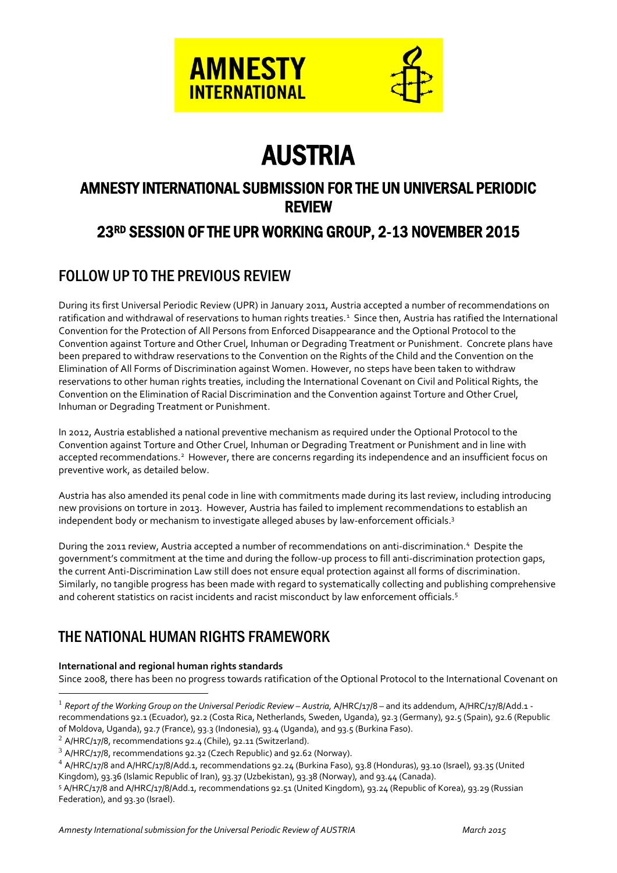



# AUSTRIA

# AMNESTY INTERNATIONAL SUBMISSION FOR THE UN UNIVERSAL PERIODIC REVIEW

# 23RD SESSION OF THE UPR WORKING GROUP, 2-13 NOVEMBER 2015

# FOLLOW UP TO THE PREVIOUS REVIEW

During its first Universal Periodic Review (UPR) in January 2011, Austria accepted a number of recommendations on ratification and withdrawal of reservations to human rights treaties.<sup>1</sup> Since then, Austria has ratified the International Convention for the Protection of All Persons from Enforced Disappearance and the Optional Protocol to the Convention against Torture and Other Cruel, Inhuman or Degrading Treatment or Punishment. Concrete plans have been prepared to withdraw reservations to the Convention on the Rights of the Child and the Convention on the Elimination of All Forms of Discrimination against Women. However, no steps have been taken to withdraw reservations to other human rights treaties, including the International Covenant on Civil and Political Rights, the Convention on the Elimination of Racial Discrimination and the Convention against Torture and Other Cruel, Inhuman or Degrading Treatment or Punishment.

In 2012, Austria established a national preventive mechanism as required under the Optional Protocol to the Convention against Torture and Other Cruel, Inhuman or Degrading Treatment or Punishment and in line with accepted recommendations.<sup>2</sup> However, there are concerns regarding its independence and an insufficient focus on preventive work, as detailed below.

Austria has also amended its penal code in line with commitments made during its last review, including introducing new provisions on torture in 2013. However, Austria has failed to implement recommendations to establish an independent body or mechanism to investigate alleged abuses by law-enforcement officials.<sup>3</sup>

During the 2011 review, Austria accepted a number of recommendations on anti-discrimination.<sup>4</sup> Despite the government's commitment at the time and during the follow-up process to fill anti-discrimination protection gaps, the current Anti-Discrimination Law still does not ensure equal protection against all forms of discrimination. Similarly, no tangible progress has been made with regard to systematically collecting and publishing comprehensive and coherent statistics on racist incidents and racist misconduct by law enforcement officials.<sup>5</sup>

# THE NATIONAL HUMAN RIGHTS FRAMEWORK

#### **International and regional human rights standards**

1

Since 2008, there has been no progress towards ratification of the Optional Protocol to the International Covenant on

<sup>&</sup>lt;sup>1</sup> Report of the Working Group on the Universal Periodic Review – Austria, A/HRC/17/8 – and its addendum, A/HRC/17/8/Add.1 recommendations 92.1 (Ecuador), 92.2 (Costa Rica, Netherlands, Sweden, Uganda), 92.3 (Germany), 92.5 (Spain), 92.6 (Republic of Moldova, Uganda), 92.7 (France), 93.3 (Indonesia), 93.4 (Uganda), and 93.5 (Burkina Faso).

 $2$  A/HRC/17/8, recommendations 92.4 (Chile), 92.11 (Switzerland).

<sup>3</sup> A/HRC/17/8, recommendations 92.32 (Czech Republic) and 92.62 (Norway).

<sup>4</sup> A/HRC/17/8 and A/HRC/17/8/Add.1*,* recommendations 92.24 (Burkina Faso), 93.8 (Honduras), 93.10 (Israel), 93.35 (United Kingdom), 93.36 (Islamic Republic of Iran), 93.37 (Uzbekistan), 93.38 (Norway), and 93.44 (Canada).

<sup>5</sup> A/HRC/17/8 and A/HRC/17/8/Add.1*,* recommendations 92.51 (United Kingdom), 93.24 (Republic of Korea), 93.29 (Russian Federation), and 93.30 (Israel).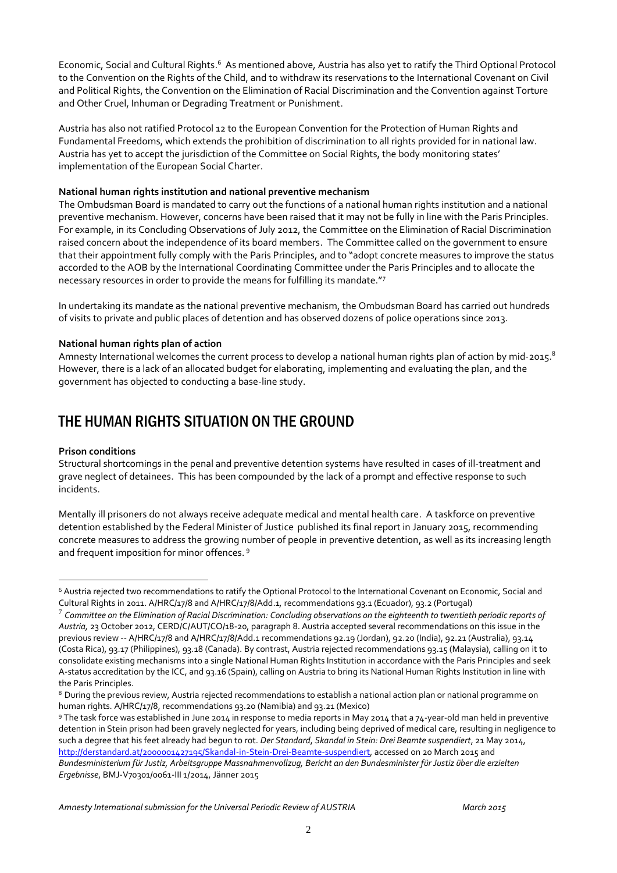Economic, Social and Cultural Rights.<sup>6</sup> As mentioned above, Austria has also yet to ratify the Third Optional Protocol to the Convention on the Rights of the Child, and to withdraw its reservations to the International Covenant on Civil and Political Rights, the Convention on the Elimination of Racial Discrimination and the Convention against Torture and Other Cruel, Inhuman or Degrading Treatment or Punishment.

Austria has also not ratified Protocol 12 to the European Convention for the Protection of Human Rights and Fundamental Freedoms, which extends the prohibition of discrimination to all rights provided for in national law. Austria has yet to accept the jurisdiction of the Committee on Social Rights, the body monitoring states' implementation of the European Social Charter.

#### **National human rights institution and national preventive mechanism**

The Ombudsman Board is mandated to carry out the functions of a national human rights institution and a national preventive mechanism. However, concerns have been raised that it may not be fully in line with the Paris Principles. For example, in its Concluding Observations of July 2012, the Committee on the Elimination of Racial Discrimination raised concern about the independence of its board members. The Committee called on the government to ensure that their appointment fully comply with the Paris Principles, and to "adopt concrete measures to improve the status accorded to the AOB by the International Coordinating Committee under the Paris Principles and to allocate the necessary resources in order to provide the means for fulfilling its mandate."<sup>7</sup>

In undertaking its mandate as the national preventive mechanism, the Ombudsman Board has carried out hundreds of visits to private and public places of detention and has observed dozens of police operations since 2013.

#### **National human rights plan of action**

Amnesty International welcomes the current process to develop a national human rights plan of action by mid-2015.<sup>8</sup> However, there is a lack of an allocated budget for elaborating, implementing and evaluating the plan, and the government has objected to conducting a base-line study.

### THE HUMAN RIGHTS SITUATION ON THE GROUND

#### **Prison conditions**

<u>.</u>

Structural shortcomings in the penal and preventive detention systems have resulted in cases of ill-treatment and grave neglect of detainees. This has been compounded by the lack of a prompt and effective response to such incidents.

Mentally ill prisoners do not always receive adequate medical and mental health care. A taskforce on preventive detention established by the Federal Minister of Justice published its final report in January 2015, recommending concrete measures to address the growing number of people in preventive detention, as well as its increasing length and frequent imposition for minor offences. <sup>9</sup>

<sup>9</sup> The task force was established in June 2014 in response to media reports in May 2014 that a 74-year-old man held in preventive detention in Stein prison had been gravely neglected for years, including being deprived of medical care, resulting in negligence to such a degree that his feet already had begun to rot. *Der Standard*, *Skandal in Stein: Drei Beamte suspendiert*, 21 May 2014, [http://derstandard.at/2000001427195/Skandal-in-Stein-Drei-Beamte-suspendiert,](http://derstandard.at/2000001427195/Skandal-in-Stein-Drei-Beamte-suspendiert) accessed on 20 March 2015 and *Bundesministerium für Justiz, Arbeitsgruppe Massnahmenvollzug, Bericht an den Bundesminister für Justiz über die erzielten Ergebnisse*, BMJ-V70301/0061-III 1/2014, Jänner 2015

<sup>6</sup> Austria rejected two recommendations to ratify the Optional Protocol to the International Covenant on Economic, Social and Cultural Rights in 2011. A/HRC/17/8 and A/HRC/17/8/Add.1*,* recommendations 93.1 (Ecuador), 93.2 (Portugal)

<sup>7</sup> *Committee on the Elimination of Racial Discrimination: Concluding observations on the eighteenth to twentieth periodic reports of Austria,* 23 October 2012, CERD/C/AUT/CO/18-20, paragraph 8. Austria accepted several recommendations on this issue in the previous review -- A/HRC/17/8 and A/HRC/17/8/Add.1 recommendations 92.19 (Jordan), 92.20 (India), 92.21 (Australia), 93.14 (Costa Rica), 93.17 (Philippines), 93.18 (Canada). By contrast, Austria rejected recommendations 93.15 (Malaysia), calling on it to consolidate existing mechanisms into a single National Human Rights Institution in accordance with the Paris Principles and seek A-status accreditation by the ICC, and 93.16 (Spain), calling on Austria to bring its National Human Rights Institution in line with the Paris Principles.

<sup>8</sup> During the previous review, Austria rejected recommendations to establish a national action plan or national programme on human rights. A/HRC/17/8, recommendations 93.20 (Namibia) and 93.21 (Mexico)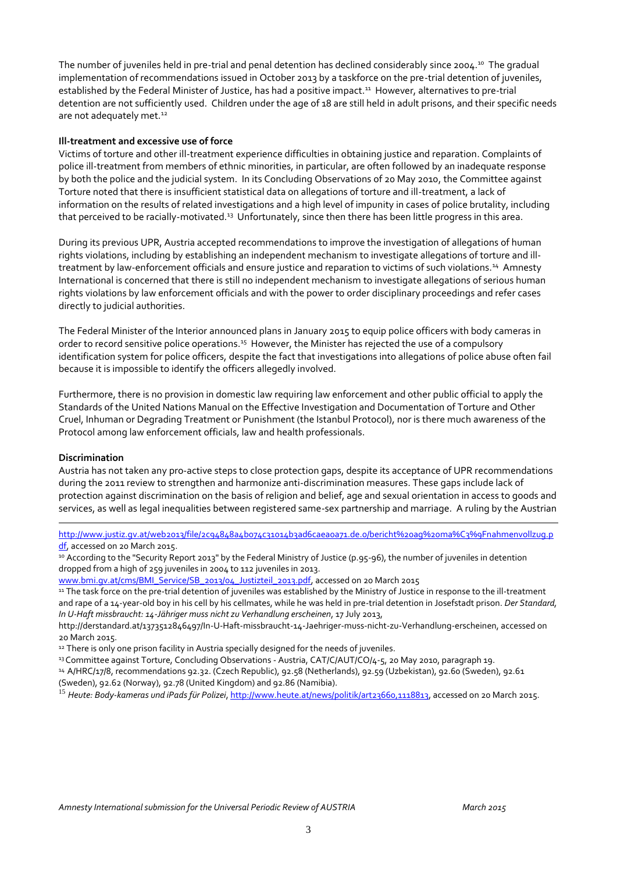The number of juveniles held in pre-trial and penal detention has declined considerably since 2004.<sup>10</sup> The gradual implementation of recommendations issued in October 2013 by a taskforce on the pre-trial detention of juveniles, established by the Federal Minister of Justice, has had a positive impact.<sup>11</sup> However, alternatives to pre-trial detention are not sufficiently used. Children under the age of 18 are still held in adult prisons, and their specific needs are not adequately met.<sup>12</sup>

#### **Ill-treatment and excessive use of force**

Victims of torture and other ill-treatment experience difficulties in obtaining justice and reparation. Complaints of police ill-treatment from members of ethnic minorities, in particular, are often followed by an inadequate response by both the police and the judicial system. In its Concluding Observations of 20 May 2010, the Committee against Torture noted that there is insufficient statistical data on allegations of torture and ill-treatment, a lack of information on the results of related investigations and a high level of impunity in cases of police brutality, including that perceived to be racially-motivated.<sup>13</sup> Unfortunately, since then there has been little progress in this area.

During its previous UPR, Austria accepted recommendations to improve the investigation of allegations of human rights violations, including by establishing an independent mechanism to investigate allegations of torture and illtreatment by law-enforcement officials and ensure justice and reparation to victims of such violations.<sup>14</sup> Amnesty International is concerned that there is still no independent mechanism to investigate allegations of serious human rights violations by law enforcement officials and with the power to order disciplinary proceedings and refer cases directly to judicial authorities.

The Federal Minister of the Interior announced plans in January 2015 to equip police officers with body cameras in order to record sensitive police operations.<sup>15</sup> However, the Minister has rejected the use of a compulsory identification system for police officers, despite the fact that investigations into allegations of police abuse often fail because it is impossible to identify the officers allegedly involved.

Furthermore, there is no provision in domestic law requiring law enforcement and other public official to apply the Standards of the United Nations Manual on the Effective Investigation and Documentation of Torture and Other Cruel, Inhuman or Degrading Treatment or Punishment (the Istanbul Protocol), nor is there much awareness of the Protocol among law enforcement officials, law and health professionals.

#### **Discrimination**

<u>.</u>

Austria has not taken any pro-active steps to close protection gaps, despite its acceptance of UPR recommendations during the 2011 review to strengthen and harmonize anti-discrimination measures. These gaps include lack of protection against discrimination on the basis of religion and belief, age and sexual orientation in access to goods and services, as well as legal inequalities between registered same-sex partnership and marriage. A ruling by the Austrian

[http://www.justiz.gv.at/web2013/file/2c94848a4b074c31014b3ad6caea0a71.de.0/bericht%20ag%20ma%C3%9Fnahmenvollzug.p](http://www.justiz.gv.at/web2013/file/2c94848a4b074c31014b3ad6caea0a71.de.0/bericht%20ag%20ma%C3%9Fnahmenvollzug.pdf) [df,](http://www.justiz.gv.at/web2013/file/2c94848a4b074c31014b3ad6caea0a71.de.0/bericht%20ag%20ma%C3%9Fnahmenvollzug.pdf) accessed on 20 March 2015.

10 According to the "Security Report 2013" by the Federal Ministry of Justice (p.95-96), the number of juveniles in detention dropped from a high of 259 juveniles in 2004 to 112 juveniles in 2013.

[www.bmi.gv.at/cms/BMI\\_Service/SB\\_2013/04\\_Justizteil\\_2013.pdf,](http://www.bmi.gv.at/cms/BMI_Service/SB_2013/04_Justizteil_2013.pdf) accessed on 20 March 2015

11 The task force on the pre-trial detention of juveniles was established by the Ministry of Justice in response to the ill-treatment and rape of a 14-year-old boy in his cell by his cellmates, while he was held in pre-trial detention in Josefstadt prison. *Der Standard, In U-Haft missbraucht: 14-Jähriger muss nicht zu Verhandlung erscheinen*, 17 July 2013,

http://derstandard.at/1373512846497/In-U-Haft-missbraucht-14-Jaehriger-muss-nicht-zu-Verhandlung-erscheinen, accessed on 20 March 2015.

<sup>12</sup> There is only one prison facility in Austria specially designed for the needs of juveniles.

13 Committee against Torture, Concluding Observations - Austria, CAT/C/AUT/CO/4-5, 20 May 2010, paragraph 19.

<sup>14</sup> A/HRC/17/8, recommendations 92.32. (Czech Republic), 92.58 (Netherlands), 92.59 (Uzbekistan), 92.60 (Sweden), 92.61 (Sweden), 92.62 (Norway), 92.78 (United Kingdom) and 92.86 (Namibia).

<sup>15</sup> *Heute: Body-kameras und iPads für Polizei*, [http://www.heute.at/news/politik/art23660,1118813,](http://www.heute.at/news/politik/art23660,1118813) accessed on 20 March 2015.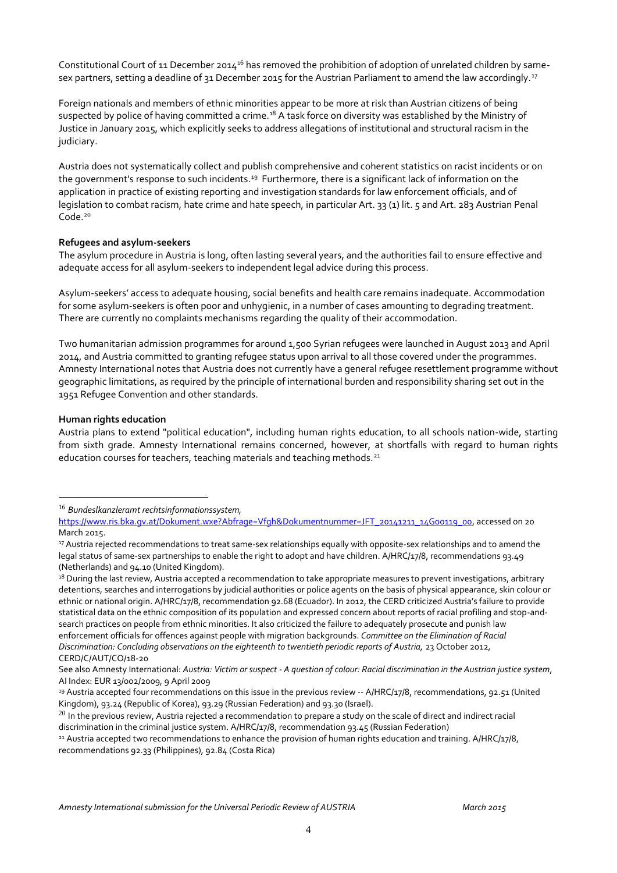Constitutional Court of 11 December 2014<sup>16</sup> has removed the prohibition of adoption of unrelated children by samesex partners, setting a deadline of 31 December 2015 for the Austrian Parliament to amend the law accordingly.<sup>17</sup>

Foreign nationals and members of ethnic minorities appear to be more at risk than Austrian citizens of being suspected by police of having committed a crime.<sup>18</sup> A task force on diversity was established by the Ministry of Justice in January 2015, which explicitly seeks to address allegations of institutional and structural racism in the judiciary.

Austria does not systematically collect and publish comprehensive and coherent statistics on racist incidents or on the government's response to such incidents.<sup>19</sup> Furthermore, there is a significant lack of information on the application in practice of existing reporting and investigation standards for law enforcement officials, and of legislation to combat racism, hate crime and hate speech, in particular Art. 33 (1) lit. 5 and Art. 283 Austrian Penal Code. 20

#### **Refugees and asylum-seekers**

The asylum procedure in Austria is long, often lasting several years, and the authorities fail to ensure effective and adequate access for all asylum-seekers to independent legal advice during this process.

Asylum-seekers' access to adequate housing, social benefits and health care remains inadequate. Accommodation for some asylum-seekers is often poor and unhygienic, in a number of cases amounting to degrading treatment. There are currently no complaints mechanisms regarding the quality of their accommodation.

Two humanitarian admission programmes for around 1,500 Syrian refugees were launched in August 2013 and April 2014, and Austria committed to granting refugee status upon arrival to all those covered under the programmes. Amnesty International notes that Austria does not currently have a general refugee resettlement programme without geographic limitations, as required by the principle of international burden and responsibility sharing set out in the 1951 Refugee Convention and other standards.

#### **Human rights education**

1

Austria plans to extend "political education", including human rights education, to all schools nation-wide, starting from sixth grade. Amnesty International remains concerned, however, at shortfalls with regard to human rights education courses for teachers, teaching materials and teaching methods.<sup>21</sup>

<sup>16</sup> *Bundeslkanzleramt rechtsinformationssystem,* 

[https://www.ris.bka.gv.at/Dokument.wxe?Abfrage=Vfgh&Dokumentnummer=JFT\\_20141211\\_14G00119\\_00,](https://www.ris.bka.gv.at/Dokument.wxe?Abfrage=Vfgh&Dokumentnummer=JFT_20141211_14G00119_00) accessed on 20 March 2015.

<sup>17</sup> Austria rejected recommendations to treat same-sex relationships equally with opposite-sex relationships and to amend the legal status of same-sex partnerships to enable the right to adopt and have children. A/HRC/17/8, recommendations 93.49 (Netherlands) and 94.10 (United Kingdom).

<sup>&</sup>lt;sup>18</sup> During the last review, Austria accepted a recommendation to take appropriate measures to prevent investigations, arbitrary detentions, searches and interrogations by judicial authorities or police agents on the basis of physical appearance, skin colour or ethnic or national origin. A/HRC/17/8, recommendation 92.68 (Ecuador). In 2012, the CERD criticized Austria's failure to provide statistical data on the ethnic composition of its population and expressed concern about reports of racial profiling and stop-andsearch practices on people from ethnic minorities. It also criticized the failure to adequately prosecute and punish law enforcement officials for offences against people with migration backgrounds. *Committee on the Elimination of Racial Discrimination: Concluding observations on the eighteenth to twentieth periodic reports of Austria,* 23 October 2012, CERD/C/AUT/CO/18-20

See also Amnesty International: *Austria: Victim or suspect - A question of colour: Racial discrimination in the Austrian justice system*, AI Index: EUR 13/002/2009, 9 April 2009

<sup>19</sup> Austria accepted four recommendations on this issue in the previous review -- A/HRC/17/8, recommendations, 92.51 (United Kingdom), 93.24 (Republic of Korea), 93.29 (Russian Federation) and 93.30 (Israel).

 $20$  In the previous review, Austria rejected a recommendation to prepare a study on the scale of direct and indirect racial discrimination in the criminal justice system. A/HRC/17/8, recommendation 93.45 (Russian Federation)

<sup>&</sup>lt;sup>21</sup> Austria accepted two recommendations to enhance the provision of human rights education and training. A/HRC/17/8, recommendations 92.33 (Philippines), 92.84 (Costa Rica)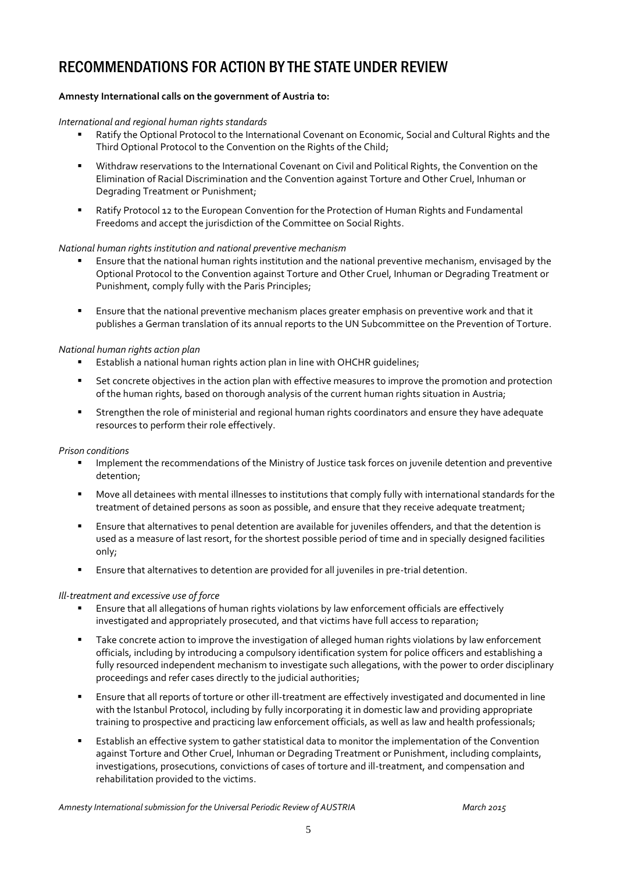## RECOMMENDATIONS FOR ACTION BY THE STATE UNDER REVIEW

#### **Amnesty International calls on the government of Austria to:**

#### *International and regional human rights standards*

- Ratify the Optional Protocol to the International Covenant on Economic, Social and Cultural Rights and the Third Optional Protocol to the Convention on the Rights of the Child;
- Withdraw reservations to the International Covenant on Civil and Political Rights, the Convention on the Elimination of Racial Discrimination and the Convention against Torture and Other Cruel, Inhuman or Degrading Treatment or Punishment;
- Ratify Protocol 12 to the European Convention for the Protection of Human Rights and Fundamental Freedoms and accept the jurisdiction of the Committee on Social Rights.

#### *National human rights institution and national preventive mechanism*

- Ensure that the national human rights institution and the national preventive mechanism, envisaged by the Optional Protocol to the Convention against Torture and Other Cruel, Inhuman or Degrading Treatment or Punishment, comply fully with the Paris Principles;
- Ensure that the national preventive mechanism places greater emphasis on preventive work and that it publishes a German translation of its annual reports to the UN Subcommittee on the Prevention of Torture.

#### *National human rights action plan*

- Establish a national human rights action plan in line with OHCHR guidelines;
- Set concrete objectives in the action plan with effective measures to improve the promotion and protection of the human rights, based on thorough analysis of the current human rights situation in Austria;
- Strengthen the role of ministerial and regional human rights coordinators and ensure they have adequate resources to perform their role effectively.

#### *Prison conditions*

- Implement the recommendations of the Ministry of Justice task forces on juvenile detention and preventive detention;
- Move all detainees with mental illnesses to institutions that comply fully with international standards for the treatment of detained persons as soon as possible, and ensure that they receive adequate treatment;
- Ensure that alternatives to penal detention are available for juveniles offenders, and that the detention is used as a measure of last resort, for the shortest possible period of time and in specially designed facilities only;
- Ensure that alternatives to detention are provided for all juveniles in pre-trial detention.

#### *Ill-treatment and excessive use of force*

- Ensure that all allegations of human rights violations by law enforcement officials are effectively investigated and appropriately prosecuted, and that victims have full access to reparation;
- **Take concrete action to improve the investigation of alleged human rights violations by law enforcement** officials, including by introducing a compulsory identification system for police officers and establishing a fully resourced independent mechanism to investigate such allegations, with the power to order disciplinary proceedings and refer cases directly to the judicial authorities;
- Ensure that all reports of torture or other ill-treatment are effectively investigated and documented in line with the Istanbul Protocol, including by fully incorporating it in domestic law and providing appropriate training to prospective and practicing law enforcement officials, as well as law and health professionals;
- Establish an effective system to gather statistical data to monitor the implementation of the Convention against Torture and Other Cruel, Inhuman or Degrading Treatment or Punishment, including complaints, investigations, prosecutions, convictions of cases of torture and ill-treatment, and compensation and rehabilitation provided to the victims.